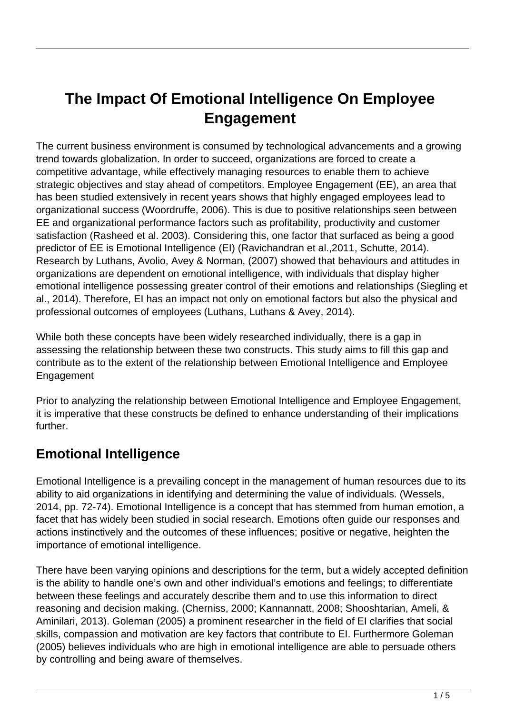# **The Impact Of Emotional Intelligence On Employee Engagement**

The current business environment is consumed by technological advancements and a growing trend towards globalization. In order to succeed, organizations are forced to create a competitive advantage, while effectively managing resources to enable them to achieve strategic objectives and stay ahead of competitors. Employee Engagement (EE), an area that has been studied extensively in recent years shows that highly engaged employees lead to organizational success (Woordruffe, 2006). This is due to positive relationships seen between EE and organizational performance factors such as profitability, productivity and customer satisfaction (Rasheed et al. 2003). Considering this, one factor that surfaced as being a good predictor of EE is Emotional Intelligence (EI) (Ravichandran et al.,2011, Schutte, 2014). Research by Luthans, Avolio, Avey & Norman, (2007) showed that behaviours and attitudes in organizations are dependent on emotional intelligence, with individuals that display higher emotional intelligence possessing greater control of their emotions and relationships (Siegling et al., 2014). Therefore, EI has an impact not only on emotional factors but also the physical and professional outcomes of employees (Luthans, Luthans & Avey, 2014).

While both these concepts have been widely researched individually, there is a gap in assessing the relationship between these two constructs. This study aims to fill this gap and contribute as to the extent of the relationship between Emotional Intelligence and Employee Engagement

Prior to analyzing the relationship between Emotional Intelligence and Employee Engagement, it is imperative that these constructs be defined to enhance understanding of their implications further.

#### **Emotional Intelligence**

Emotional Intelligence is a prevailing concept in the management of human resources due to its ability to aid organizations in identifying and determining the value of individuals. (Wessels, 2014, pp. 72-74). Emotional Intelligence is a concept that has stemmed from human emotion, a facet that has widely been studied in social research. Emotions often guide our responses and actions instinctively and the outcomes of these influences; positive or negative, heighten the importance of emotional intelligence.

There have been varying opinions and descriptions for the term, but a widely accepted definition is the ability to handle one's own and other individual's emotions and feelings; to differentiate between these feelings and accurately describe them and to use this information to direct reasoning and decision making. (Cherniss, 2000; Kannannatt, 2008; Shooshtarian, Ameli, & Aminilari, 2013). Goleman (2005) a prominent researcher in the field of EI clarifies that social skills, compassion and motivation are key factors that contribute to EI. Furthermore Goleman (2005) believes individuals who are high in emotional intelligence are able to persuade others by controlling and being aware of themselves.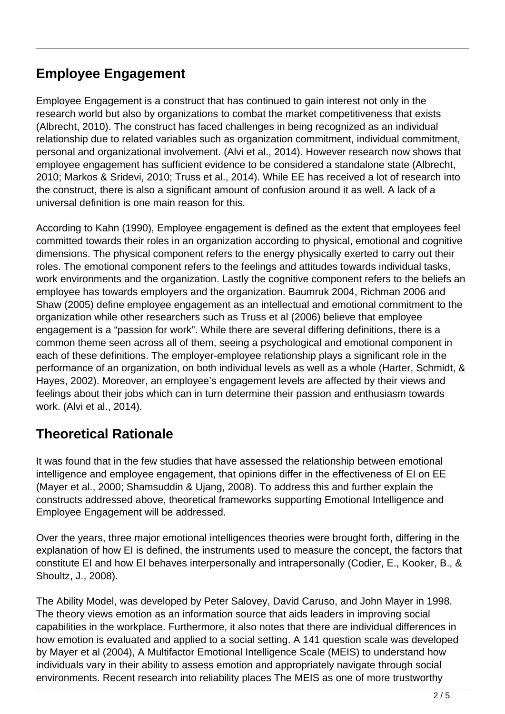## **Employee Engagement**

Employee Engagement is a construct that has continued to gain interest not only in the research world but also by organizations to combat the market competitiveness that exists (Albrecht, 2010). The construct has faced challenges in being recognized as an individual relationship due to related variables such as organization commitment, individual commitment, personal and organizational involvement. (Alvi et al., 2014). However research now shows that employee engagement has sufficient evidence to be considered a standalone state (Albrecht, 2010; Markos & Sridevi, 2010; Truss et al., 2014). While EE has received a lot of research into the construct, there is also a significant amount of confusion around it as well. A lack of a universal definition is one main reason for this.

According to Kahn (1990), Employee engagement is defined as the extent that employees feel committed towards their roles in an organization according to physical, emotional and cognitive dimensions. The physical component refers to the energy physically exerted to carry out their roles. The emotional component refers to the feelings and attitudes towards individual tasks, work environments and the organization. Lastly the cognitive component refers to the beliefs an employee has towards employers and the organization. Baumruk 2004, Richman 2006 and Shaw (2005) define employee engagement as an intellectual and emotional commitment to the organization while other researchers such as Truss et al (2006) believe that employee engagement is a "passion for work". While there are several differing definitions, there is a common theme seen across all of them, seeing a psychological and emotional component in each of these definitions. The employer-employee relationship plays a significant role in the performance of an organization, on both individual levels as well as a whole (Harter, Schmidt, & Hayes, 2002). Moreover, an employee's engagement levels are affected by their views and feelings about their jobs which can in turn determine their passion and enthusiasm towards work. (Alvi et al., 2014).

#### **Theoretical Rationale**

It was found that in the few studies that have assessed the relationship between emotional intelligence and employee engagement, that opinions differ in the effectiveness of EI on EE (Mayer et al., 2000; Shamsuddin & Ujang, 2008). To address this and further explain the constructs addressed above, theoretical frameworks supporting Emotional Intelligence and Employee Engagement will be addressed.

Over the years, three major emotional intelligences theories were brought forth, differing in the explanation of how EI is defined, the instruments used to measure the concept, the factors that constitute EI and how EI behaves interpersonally and intrapersonally (Codier, E., Kooker, B., & Shoultz, J., 2008).

The Ability Model, was developed by Peter Salovey, David Caruso, and John Mayer in 1998. The theory views emotion as an information source that aids leaders in improving social capabilities in the workplace. Furthermore, it also notes that there are individual differences in how emotion is evaluated and applied to a social setting. A 141 question scale was developed by Mayer et al (2004), A Multifactor Emotional Intelligence Scale (MEIS) to understand how individuals vary in their ability to assess emotion and appropriately navigate through social environments. Recent research into reliability places The MEIS as one of more trustworthy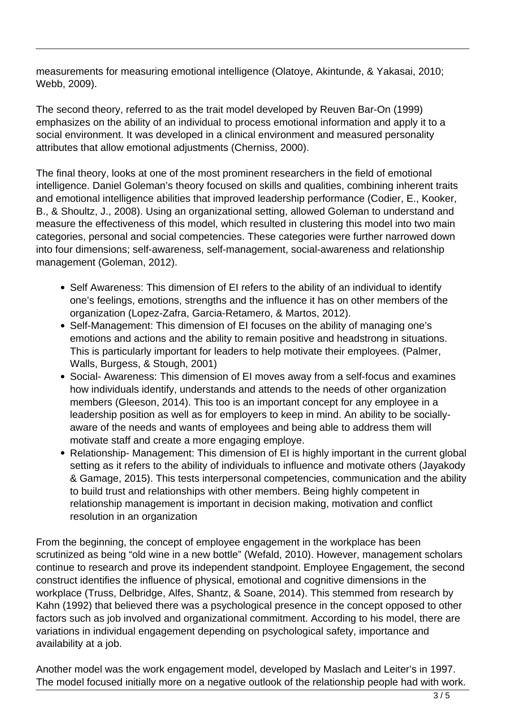measurements for measuring emotional intelligence (Olatoye, Akintunde, & Yakasai, 2010; Webb, 2009).

The second theory, referred to as the trait model developed by Reuven Bar-On (1999) emphasizes on the ability of an individual to process emotional information and apply it to a social environment. It was developed in a clinical environment and measured personality attributes that allow emotional adjustments (Cherniss, 2000).

The final theory, looks at one of the most prominent researchers in the field of emotional intelligence. Daniel Goleman's theory focused on skills and qualities, combining inherent traits and emotional intelligence abilities that improved leadership performance (Codier, E., Kooker, B., & Shoultz, J., 2008). Using an organizational setting, allowed Goleman to understand and measure the effectiveness of this model, which resulted in clustering this model into two main categories, personal and social competencies. These categories were further narrowed down into four dimensions; self-awareness, self-management, social-awareness and relationship management (Goleman, 2012).

- Self Awareness: This dimension of EI refers to the ability of an individual to identify one's feelings, emotions, strengths and the influence it has on other members of the organization (Lopez-Zafra, Garcia-Retamero, & Martos, 2012).
- Self-Management: This dimension of EI focuses on the ability of managing one's emotions and actions and the ability to remain positive and headstrong in situations. This is particularly important for leaders to help motivate their employees. (Palmer, Walls, Burgess, & Stough, 2001)
- Social- Awareness: This dimension of EI moves away from a self-focus and examines how individuals identify, understands and attends to the needs of other organization members (Gleeson, 2014). This too is an important concept for any employee in a leadership position as well as for employers to keep in mind. An ability to be sociallyaware of the needs and wants of employees and being able to address them will motivate staff and create a more engaging employe.
- Relationship- Management: This dimension of EI is highly important in the current global setting as it refers to the ability of individuals to influence and motivate others (Jayakody & Gamage, 2015). This tests interpersonal competencies, communication and the ability to build trust and relationships with other members. Being highly competent in relationship management is important in decision making, motivation and conflict resolution in an organization

From the beginning, the concept of employee engagement in the workplace has been scrutinized as being "old wine in a new bottle" (Wefald, 2010). However, management scholars continue to research and prove its independent standpoint. Employee Engagement, the second construct identifies the influence of physical, emotional and cognitive dimensions in the workplace (Truss, Delbridge, Alfes, Shantz, & Soane, 2014). This stemmed from research by Kahn (1992) that believed there was a psychological presence in the concept opposed to other factors such as job involved and organizational commitment. According to his model, there are variations in individual engagement depending on psychological safety, importance and availability at a job.

Another model was the work engagement model, developed by Maslach and Leiter's in 1997. The model focused initially more on a negative outlook of the relationship people had with work.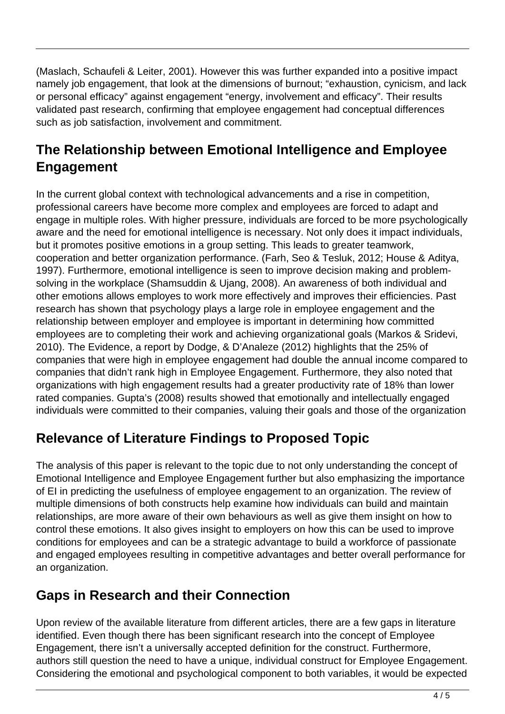(Maslach, Schaufeli & Leiter, 2001). However this was further expanded into a positive impact namely job engagement, that look at the dimensions of burnout; "exhaustion, cynicism, and lack or personal efficacy" against engagement "energy, involvement and efficacy". Their results validated past research, confirming that employee engagement had conceptual differences such as job satisfaction, involvement and commitment.

## **The Relationship between Emotional Intelligence and Employee Engagement**

In the current global context with technological advancements and a rise in competition, professional careers have become more complex and employees are forced to adapt and engage in multiple roles. With higher pressure, individuals are forced to be more psychologically aware and the need for emotional intelligence is necessary. Not only does it impact individuals, but it promotes positive emotions in a group setting. This leads to greater teamwork, cooperation and better organization performance. (Farh, Seo & Tesluk, 2012; House & Aditya, 1997). Furthermore, emotional intelligence is seen to improve decision making and problemsolving in the workplace (Shamsuddin & Ujang, 2008). An awareness of both individual and other emotions allows employes to work more effectively and improves their efficiencies. Past research has shown that psychology plays a large role in employee engagement and the relationship between employer and employee is important in determining how committed employees are to completing their work and achieving organizational goals (Markos & Sridevi, 2010). The Evidence, a report by Dodge, & D'Analeze (2012) highlights that the 25% of companies that were high in employee engagement had double the annual income compared to companies that didn't rank high in Employee Engagement. Furthermore, they also noted that organizations with high engagement results had a greater productivity rate of 18% than lower rated companies. Gupta's (2008) results showed that emotionally and intellectually engaged individuals were committed to their companies, valuing their goals and those of the organization

#### **Relevance of Literature Findings to Proposed Topic**

The analysis of this paper is relevant to the topic due to not only understanding the concept of Emotional Intelligence and Employee Engagement further but also emphasizing the importance of EI in predicting the usefulness of employee engagement to an organization. The review of multiple dimensions of both constructs help examine how individuals can build and maintain relationships, are more aware of their own behaviours as well as give them insight on how to control these emotions. It also gives insight to employers on how this can be used to improve conditions for employees and can be a strategic advantage to build a workforce of passionate and engaged employees resulting in competitive advantages and better overall performance for an organization.

#### **Gaps in Research and their Connection**

Upon review of the available literature from different articles, there are a few gaps in literature identified. Even though there has been significant research into the concept of Employee Engagement, there isn't a universally accepted definition for the construct. Furthermore, authors still question the need to have a unique, individual construct for Employee Engagement. Considering the emotional and psychological component to both variables, it would be expected